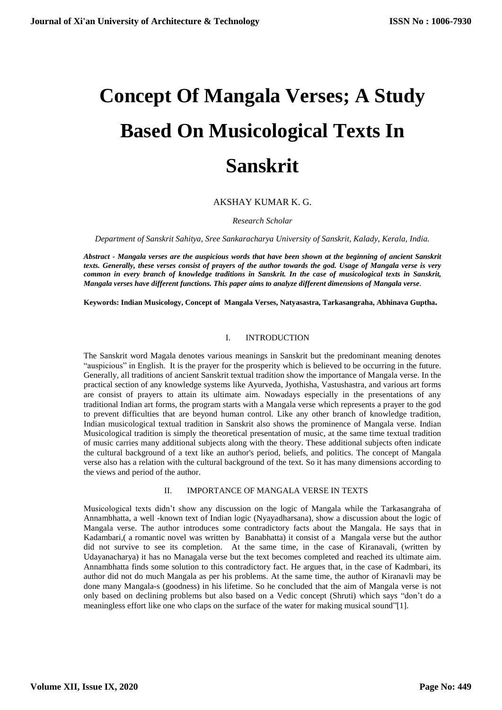# **Concept Of Mangala Verses; A Study Based On Musicological Texts In Sanskrit**

AKSHAY KUMAR K. G.

*Research Scholar*

*Department of Sanskrit Sahitya, Sree Sankaracharya University of Sanskrit, Kalady, Kerala, India.*

*Abstract - Mangala verses are the auspicious words that have been shown at the beginning of ancient Sanskrit texts. Generally, these verses consist of prayers of the author towards the god. Usage of Mangala verse is very common in every branch of knowledge traditions in Sanskrit. In the case of musicological texts in Sanskrit, Mangala verses have different functions. This paper aims to analyze different dimensions of Mangala verse.*

**Keywords: Indian Musicology, Concept of Mangala Verses, Natyasastra, Tarkasangraha, Abhinava Guptha.**

# I. INTRODUCTION

The Sanskrit word Magala denotes various meanings in Sanskrit but the predominant meaning denotes "auspicious" in English. It is the prayer for the prosperity which is believed to be occurring in the future. Generally, all traditions of ancient Sanskrit textual tradition show the importance of Mangala verse. In the practical section of any knowledge systems like Ayurveda, Jyothisha, Vastushastra, and various art forms are consist of prayers to attain its ultimate aim. Nowadays especially in the presentations of any traditional Indian art forms, the program starts with a Mangala verse which represents a prayer to the god to prevent difficulties that are beyond human control. Like any other branch of knowledge tradition, Indian musicological textual tradition in Sanskrit also shows the prominence of Mangala verse. Indian Musicological tradition is simply the theoretical presentation of music, at the same time textual tradition of music carries many additional subjects along with the theory. These additional subjects often indicate the cultural background of a text like an author's period, beliefs, and politics. The concept of Mangala verse also has a relation with the cultural background of the text. So it has many dimensions according to the views and period of the author.

#### II. IMPORTANCE OF MANGALA VERSE IN TEXTS

Musicological texts didn't show any discussion on the logic of Mangala while the Tarkasangraha of Annambhatta, a well -known text of Indian logic (Nyayadharsana), show a discussion about the logic of Mangala verse. The author introduces some contradictory facts about the Mangala. He says that in Kadambari,( a romantic novel was written by Banabhatta) it consist of a Mangala verse but the author did not survive to see its completion. At the same time, in the case of Kiranavali, (written by Udayanacharya) it has no Managala verse but the text becomes completed and reached its ultimate aim. Annambhatta finds some solution to this contradictory fact. He argues that, in the case of Kadmbari, its author did not do much Mangala as per his problems. At the same time, the author of Kiranavli may be done many Mangala-s (goodness) in his lifetime. So he concluded that the aim of Mangala verse is not only based on declining problems but also based on a Vedic concept (Shruti) which says "don't do a meaningless effort like one who claps on the surface of the water for making musical sound"[1].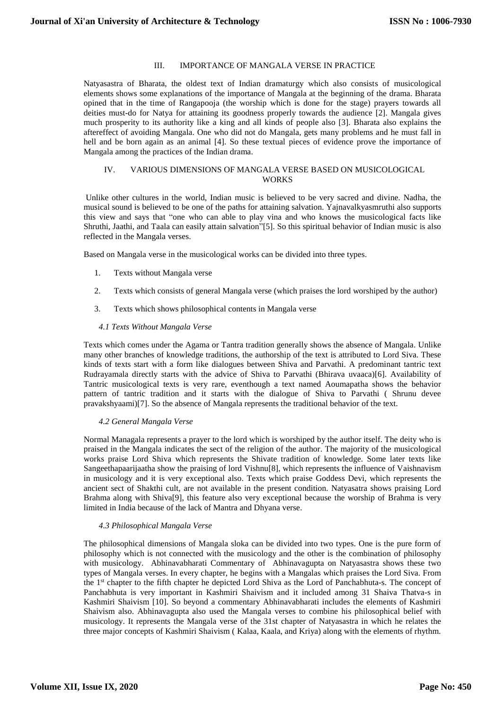# III. IMPORTANCE OF MANGALA VERSE IN PRACTICE

Natyasastra of Bharata, the oldest text of Indian dramaturgy which also consists of musicological elements shows some explanations of the importance of Mangala at the beginning of the drama. Bharata opined that in the time of Rangapooja (the worship which is done for the stage) prayers towards all deities must-do for Natya for attaining its goodness properly towards the audience [2]. Mangala gives much prosperity to its authority like a king and all kinds of people also [3]. Bharata also explains the aftereffect of avoiding Mangala. One who did not do Mangala, gets many problems and he must fall in hell and be born again as an animal [4]. So these textual pieces of evidence prove the importance of Mangala among the practices of the Indian drama.

### IV. VARIOUS DIMENSIONS OF MANGALA VERSE BASED ON MUSICOLOGICAL **WORKS**

Unlike other cultures in the world, Indian music is believed to be very sacred and divine. Nadha, the musical sound is believed to be one of the paths for attaining salvation. Yajnavalkyasmruthi also supports this view and says that "one who can able to play vina and who knows the musicological facts like Shruthi, Jaathi, and Taala can easily attain salvation"[5]. So this spiritual behavior of Indian music is also reflected in the Mangala verses.

Based on Mangala verse in the musicological works can be divided into three types.

- 1. Texts without Mangala verse
- 2. Texts which consists of general Mangala verse (which praises the lord worshiped by the author)
- 3. Texts which shows philosophical contents in Mangala verse

## *4.1 Texts Without Mangala Verse*

Texts which comes under the Agama or Tantra tradition generally shows the absence of Mangala. Unlike many other branches of knowledge traditions, the authorship of the text is attributed to Lord Siva. These kinds of texts start with a form like dialogues between Shiva and Parvathi. A predominant tantric text Rudrayamala directly starts with the advice of Shiva to Parvathi (Bhirava uvaaca)[6]. Availability of Tantric musicological texts is very rare, eventhough a text named Aoumapatha shows the behavior pattern of tantric tradition and it starts with the dialogue of Shiva to Parvathi ( Shrunu devee pravakshyaami)[7]. So the absence of Mangala represents the traditional behavior of the text.

#### *4.2 General Mangala Verse*

Normal Managala represents a prayer to the lord which is worshiped by the author itself. The deity who is praised in the Mangala indicates the sect of the religion of the author. The majority of the musicological works praise Lord Shiva which represents the Shivate tradition of knowledge. Some later texts like Sangeethapaarijaatha show the praising of lord Vishnu[8], which represents the influence of Vaishnavism in musicology and it is very exceptional also. Texts which praise Goddess Devi, which represents the ancient sect of Shakthi cult, are not available in the present condition. Natyasatra shows praising Lord Brahma along with Shiva[9], this feature also very exceptional because the worship of Brahma is very limited in India because of the lack of Mantra and Dhyana verse.

# *4.3 Philosophical Mangala Verse*

The philosophical dimensions of Mangala sloka can be divided into two types. One is the pure form of philosophy which is not connected with the musicology and the other is the combination of philosophy with musicology. Abhinavabharati Commentary of Abhinavagupta on Natyasastra shows these two types of Mangala verses. In every chapter, he begins with a Mangalas which praises the Lord Siva. From the 1<sup>st</sup> chapter to the fifth chapter he depicted Lord Shiva as the Lord of Panchabhuta-s. The concept of Panchabhuta is very important in Kashmiri Shaivism and it included among 31 Shaiva Thatva-s in Kashmiri Shaivism [10]. So beyond a commentary Abhinavabharati includes the elements of Kashmiri Shaivism also. Abhinavagupta also used the Mangala verses to combine his philosophical belief with musicology. It represents the Mangala verse of the 31st chapter of Natyasastra in which he relates the three major concepts of Kashmiri Shaivism ( Kalaa, Kaala, and Kriya) along with the elements of rhythm.